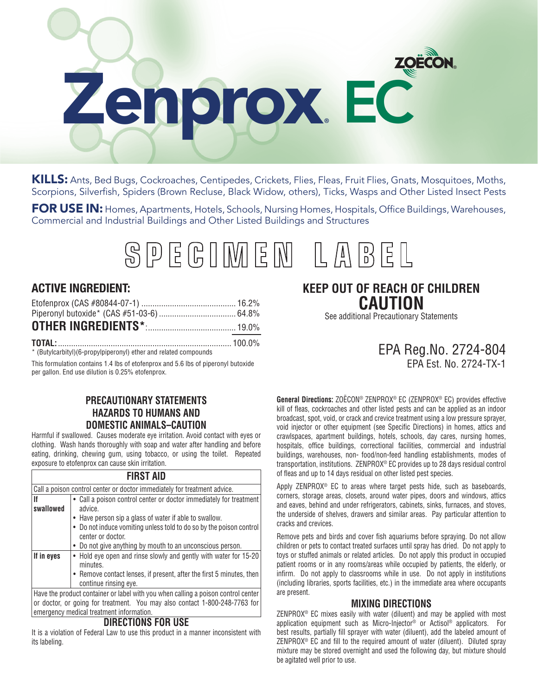# Zenprox**®** EC

KILLS: Ants, Bed Bugs, Cockroaches, Centipedes, Crickets, Flies, Fleas, Fruit Flies, Gnats, Mosquitoes, Moths, Scorpions, Silverfish, Spiders (Brown Recluse, Black Widow, others), Ticks, Wasps and Other Listed Insect Pests

FOR USE IN: Homes, Apartments, Hotels, Schools, Nursing Homes, Hospitals, Office Buildings, Warehouses, Commercial and Industrial Buildings and Other Listed Buildings and Structures

# SPEGIMEN LAB

# **ACTIVE INGREDIENT:**

**TOTAL:**............................................................................... 100.0% \* (Butylcarbityl)(6-propylpiperonyl) ether and related compounds

This formulation contains 1.4 lbs of etofenprox and 5.6 lbs of piperonyl butoxide per gallon. End use dilution is 0.25% etofenprox.

# **PRECAUTIONARY STATEMENTS HAZARDS TO HUMANS AND DOMESTIC ANIMALS–CAUTION**

Harmful if swallowed. Causes moderate eye irritation. Avoid contact with eyes or clothing. Wash hands thoroughly with soap and water after handling and before eating, drinking, chewing gum, using tobacco, or using the toilet. Repeated exposure to etofenprox can cause skin irritation.

### **FIRST AID**

| Call a poison control center or doctor immediately for treatment advice.                                                                                       |                                                                                                                                                                                                                                                                                                  |  |  |
|----------------------------------------------------------------------------------------------------------------------------------------------------------------|--------------------------------------------------------------------------------------------------------------------------------------------------------------------------------------------------------------------------------------------------------------------------------------------------|--|--|
| lf<br>swallowed                                                                                                                                                | • Call a poison control center or doctor immediately for treatment<br>advice.<br>• Have person sip a glass of water if able to swallow.<br>• Do not induce vomiting unless told to do so by the poison control<br>center or doctor.<br>• Do not give anything by mouth to an unconscious person. |  |  |
| If in eyes                                                                                                                                                     | • Hold eye open and rinse slowly and gently with water for 15-20<br>minutes.<br>• Remove contact lenses, if present, after the first 5 minutes, then<br>continue rinsing eye.                                                                                                                    |  |  |
| Have the product container or label with you when calling a poison control center<br>or doctor or going for treatment. Vou may also contact 1,000,040,7769 for |                                                                                                                                                                                                                                                                                                  |  |  |

or doctor, or going for treatment. You may also contact 1-800-248-7763 for emergency medical treatment information.

### **DIRECTIONS FOR USE**

It is a violation of Federal Law to use this product in a manner inconsistent with its labeling.

# **KEEP OUT OF REACH OF CHILDREN CAUTION**

See additional Precautionary Statements

# EPA Reg.No. 2724-804 EPA Est. No. 2724-TX-1

**General Directions:** ZOËCON® ZENPROX® EC (ZENPROX® EC) provides effective kill of fleas, cockroaches and other listed pests and can be applied as an indoor broadcast, spot, void, or crack and crevice treatment using a low pressure sprayer, void injector or other equipment (see Specific Directions) in homes, attics and crawlspaces, apartment buildings, hotels, schools, day cares, nursing homes, hospitals, office buildings, correctional facilities, commercial and industrial buildings, warehouses, non- food/non-feed handling establishments, modes of transportation, institutions. ZENPROX® EC provides up to 28 days residual control of fleas and up to 14 days residual on other listed pest species.

Apply ZENPROX® EC to areas where target pests hide, such as baseboards, corners, storage areas, closets, around water pipes, doors and windows, attics and eaves, behind and under refrigerators, cabinets, sinks, furnaces, and stoves, the underside of shelves, drawers and similar areas. Pay particular attention to cracks and crevices.

Remove pets and birds and cover fish aquariums before spraying. Do not allow children or pets to contact treated surfaces until spray has dried. Do not apply to toys or stuffed animals or related articles. Do not apply this product in occupied patient rooms or in any rooms/areas while occupied by patients, the elderly, or infirm. Do not apply to classrooms while in use. Do not apply in institutions (including libraries, sports facilities, etc.) in the immediate area where occupants are present.

# **MIXING DIRECTIONS**

ZENPROX® EC mixes easily with water (diluent) and may be applied with most application equipment such as Micro-Injector® or Actisol® applicators. For best results, partially fill sprayer with water (diluent), add the labeled amount of ZENPROX® EC and fill to the required amount of water (diluent). Diluted spray mixture may be stored overnight and used the following day, but mixture should be agitated well prior to use.